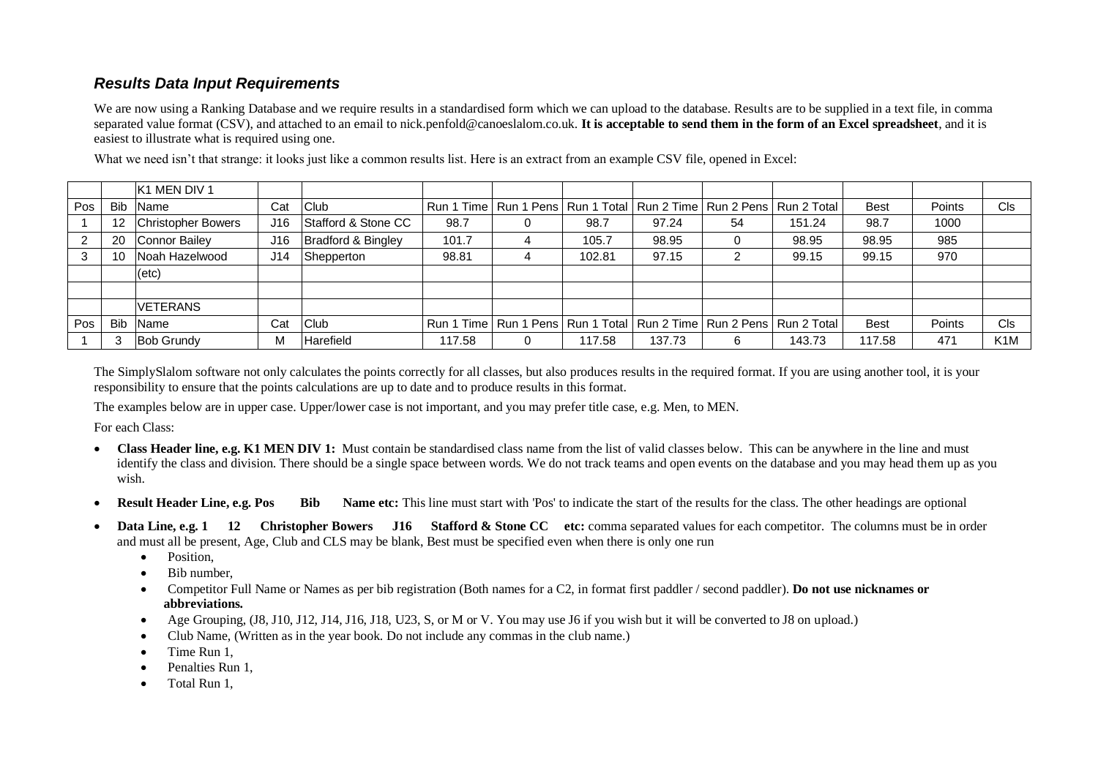## *Results Data Input Requirements*

We are now using a Ranking Database and we require results in a standardised form which we can upload to the database. Results are to be supplied in a text file, in comma separated value format (CSV), and attached to an email to nick.penfold@canoeslalom.co.uk. **It is acceptable to send them in the form of an Excel spreadsheet**, and it is easiest to illustrate what is required using one.

|     |            | <b>K1 MEN DIV 1</b>       |     |                     |        |   |        |                                                                               |    |        |             |        |                  |
|-----|------------|---------------------------|-----|---------------------|--------|---|--------|-------------------------------------------------------------------------------|----|--------|-------------|--------|------------------|
| Pos | <b>Bib</b> | <b>Name</b>               | Cat | Club                |        |   |        | Run 1 Time   Run 1 Pens   Run 1 Total   Run 2 Time   Run 2 Pens   Run 2 Total |    |        | <b>Best</b> | Points | <b>CIs</b>       |
|     |            | <b>Christopher Bowers</b> | J16 | Stafford & Stone CC | 98.7   |   | 98.7   | 97.24                                                                         | 54 | 151.24 | 98.7        | 1000   |                  |
|     | 20         | Connor Bailey             | J16 | Bradford & Bingley  | 101.7  |   | 105.7  | 98.95                                                                         |    | 98.95  | 98.95       | 985    |                  |
| 3   | 10         | Noah Hazelwood            | J14 | Shepperton          | 98.81  | 4 | 102.81 | 97.15                                                                         | ⌒  | 99.15  | 99.15       | 970    |                  |
|     |            | $(\text{etc})$            |     |                     |        |   |        |                                                                               |    |        |             |        |                  |
|     |            |                           |     |                     |        |   |        |                                                                               |    |        |             |        |                  |
|     |            | <b>VETERANS</b>           |     |                     |        |   |        |                                                                               |    |        |             |        |                  |
| Pos | <b>Bib</b> | <b>Name</b>               | Cat | Club                |        |   |        | Run 1 Time   Run 1 Pens   Run 1 Total   Run 2 Time   Run 2 Pens   Run 2 Total |    |        | <b>Best</b> | Points | Cls              |
|     |            | <b>Bob Grundy</b>         | M   | Harefield           | 117.58 |   | 117.58 | 137.73                                                                        | 6  | 143.73 | 117.58      | 471    | K <sub>1</sub> M |

What we need isn't that strange: it looks just like a common results list. Here is an extract from an example CSV file, opened in Excel:

The SimplySlalom software not only calculates the points correctly for all classes, but also produces results in the required format. If you are using another tool, it is your responsibility to ensure that the points calculations are up to date and to produce results in this format.

The examples below are in upper case. Upper/lower case is not important, and you may prefer title case, e.g. Men, to MEN.

For each Class:

- Class Header line, e.g. K1 MEN DIV 1: Must contain be standardised class name from the list of valid classes below. This can be anywhere in the line and must identify the class and division. There should be a single space between words. We do not track teams and open events on the database and you may head them up as you wish.
- **Result Header Line, e.g. Pos** Bib Name etc: This line must start with 'Pos' to indicate the start of the results for the class. The other headings are optional
- **Data Line, e.g. 1** 12 **Christopher Bowers** J16 Stafford & Stone CC etc: comma separated values for each competitor. The columns must be in order and must all be present, Age, Club and CLS may be blank, Best must be specified even when there is only one run
	- Position,
	- Bib number.
	- Competitor Full Name or Names as per bib registration (Both names for a C2, in format first paddler / second paddler). **Do not use nicknames or abbreviations.**
	- Age Grouping, (J8, J10, J12, J14, J16, J18, U23, S, or M or V. You may use J6 if you wish but it will be converted to J8 on upload.)
	- Club Name, (Written as in the year book. Do not include any commas in the club name.)
	- Time Run 1,
	- Penalties Run 1.
	- Total Run 1,